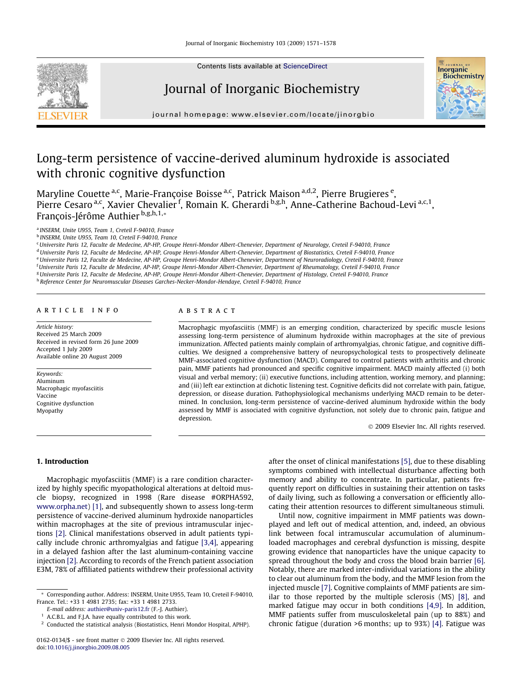

Contents lists available at [ScienceDirect](http://www.sciencedirect.com/science/journal/01620134)

# Journal of Inorganic Biochemistry



journal homepage: [www.elsevier.com/locate/jinorgbio](http://www.elsevier.com/locate/jinorgbio)

# Long-term persistence of vaccine-derived aluminum hydroxide is associated with chronic cognitive dysfunction

Maryline Couette <sup>a,c</sup>, Marie-Françoise Boisse <sup>a,c</sup>, Patrick Maison <sup>a,d,2</sup>, Pierre Brugieres <sup>e</sup>, Pierre Cesaro <sup>a,c</sup>, Xavier Chevalier <sup>f</sup>, Romain K. Gherardi b,g,h, Anne-Catherine Bachoud-Levi <sup>a,c, 1</sup>, François-Jérôme Authier<sup>b,g,h,1,\*</sup>

<sup>a</sup> INSERM, Unite U955, Team 1, Creteil F-94010, France

<sup>b</sup> INSERM, Unite U955, Team 10, Creteil F-94010, France

<sup>c</sup>Universite Paris 12, Faculte de Medecine, AP-HP, Groupe Henri-Mondor Albert-Chenevier, Department of Neurology, Creteil F-94010, France

<sup>d</sup> Universite Paris 12, Faculte de Medecine, AP-HP, Groupe Henri-Mondor Albert-Chenevier, Department of Biostatistics, Creteil F-94010, France

e Universite Paris 12, Faculte de Medecine, AP-HP, Groupe Henri-Mondor Albert-Chenevier, Department of Neuroradiology, Creteil F-94010, France

f Universite Paris 12, Faculte de Medecine, AP-HP, Groupe Henri-Mondor Albert-Chenevier, Department of Rheumatology, Creteil F-94010, France

<sup>g</sup>Universite Paris 12, Faculte de Medecine, AP-HP, Groupe Henri-Mondor Albert-Chenevier, Department of Histology, Creteil F-94010, France

<sup>h</sup> Reference Center for Neuromuscular Diseases Garches-Necker-Mondor-Hendaye, Creteil F-94010, France

# article info

Article history: Received 25 March 2009 Received in revised form 26 June 2009 Accepted 1 July 2009 Available online 20 August 2009

Keywords: Aluminum Macrophagic myofasciitis Vaccine Cognitive dysfunction Myopathy

# **ABSTRACT**

Macrophagic myofasciitis (MMF) is an emerging condition, characterized by specific muscle lesions assessing long-term persistence of aluminum hydroxide within macrophages at the site of previous immunization. Affected patients mainly complain of arthromyalgias, chronic fatigue, and cognitive difficulties. We designed a comprehensive battery of neuropsychological tests to prospectively delineate MMF-associated cognitive dysfunction (MACD). Compared to control patients with arthritis and chronic pain, MMF patients had pronounced and specific cognitive impairment. MACD mainly affected (i) both visual and verbal memory; (ii) executive functions, including attention, working memory, and planning; and (iii) left ear extinction at dichotic listening test. Cognitive deficits did not correlate with pain, fatigue, depression, or disease duration. Pathophysiological mechanisms underlying MACD remain to be determined. In conclusion, long-term persistence of vaccine-derived aluminum hydroxide within the body assessed by MMF is associated with cognitive dysfunction, not solely due to chronic pain, fatigue and depression.

- 2009 Elsevier Inc. All rights reserved.

### 1. Introduction

Macrophagic myofasciitis (MMF) is a rare condition characterized by highly specific myopathological alterations at deltoid muscle biopsy, recognized in 1998 (Rare disease #ORPHA592, [www.orpha.net\)](http://www.orpha.net) [\[1\],](#page-7-0) and subsequently shown to assess long-term persistence of vaccine-derived aluminum hydroxide nanoparticles within macrophages at the site of previous intramuscular injections [\[2\]](#page-7-0). Clinical manifestations observed in adult patients typically include chronic arthromyalgias and fatigue [\[3,4\],](#page-7-0) appearing in a delayed fashion after the last aluminum-containing vaccine injection [\[2\]](#page-7-0). According to records of the French patient association E3M, 78% of affiliated patients withdrew their professional activity

E-mail address: [authier@univ-paris12.fr](mailto:authier@univ-paris12.fr) (F.-J. Authier).

after the onset of clinical manifestations [\[5\],](#page-7-0) due to these disabling symptoms combined with intellectual disturbance affecting both memory and ability to concentrate. In particular, patients frequently report on difficulties in sustaining their attention on tasks of daily living, such as following a conversation or efficiently allocating their attention resources to different simultaneous stimuli.

Until now, cognitive impairment in MMF patients was downplayed and left out of medical attention, and, indeed, an obvious link between focal intramuscular accumulation of aluminumloaded macrophages and cerebral dysfunction is missing, despite growing evidence that nanoparticles have the unique capacity to spread throughout the body and cross the blood brain barrier [\[6\].](#page-7-0) Notably, there are marked inter-individual variations in the ability to clear out aluminum from the body, and the MMF lesion from the injected muscle [\[7\]](#page-7-0). Cognitive complaints of MMF patients are similar to those reported by the multiple sclerosis (MS) [\[8\],](#page-7-0) and marked fatigue may occur in both conditions [\[4,9\]](#page-7-0). In addition, MMF patients suffer from musculoskeletal pain (up to 88%) and chronic fatigue (duration >6 months; up to 93%) [\[4\].](#page-7-0) Fatigue was

<sup>\*</sup> Corresponding author. Address: INSERM, Unite U955, Team 10, Creteil F-94010, France. Tel.: +33 1 4981 2735; fax: +33 1 4981 2733.

A.C.B.L. and F.J.A. have equally contributed to this work.

<sup>&</sup>lt;sup>2</sup> Conducted the statistical analysis (Biostatistics, Henri Mondor Hospital, APHP).

<sup>0162-0134/\$ -</sup> see front matter © 2009 Elsevier Inc. All rights reserved. doi[:10.1016/j.jinorgbio.2009.08.005](http://dx.doi.org/10.1016/j.jinorgbio.2009.08.005)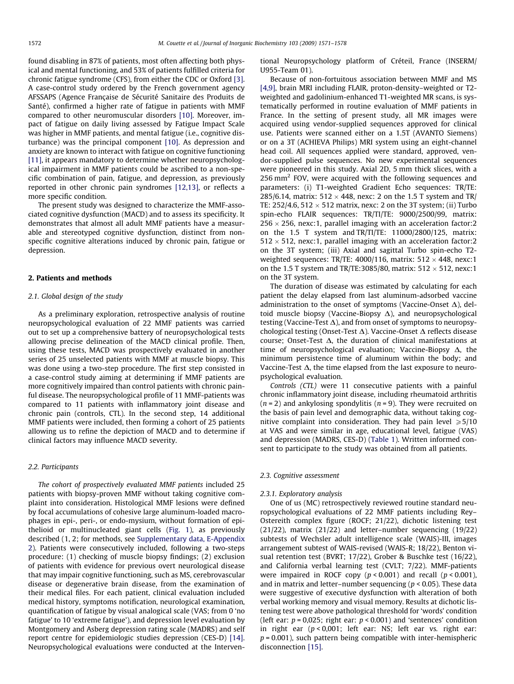found disabling in 87% of patients, most often affecting both physical and mental functioning, and 53% of patients fulfilled criteria for chronic fatigue syndrome (CFS), from either the CDC or Oxford [\[3\].](#page-7-0) A case-control study ordered by the French government agency AFSSAPS (Agence Française de Sécurité Sanitaire des Produits de Santé), confirmed a higher rate of fatigue in patients with MMF compared to other neuromuscular disorders [\[10\]](#page-7-0). Moreover, impact of fatigue on daily living assessed by Fatigue Impact Scale was higher in MMF patients, and mental fatigue (i.e., cognitive disturbance) was the principal component [\[10\].](#page-7-0) As depression and anxiety are known to interact with fatigue on cognitive functioning [\[11\]](#page-7-0), it appears mandatory to determine whether neuropsychological impairment in MMF patients could be ascribed to a non-specific combination of pain, fatigue, and depression, as previously reported in other chronic pain syndromes [\[12,13\]](#page-7-0), or reflects a more specific condition.

The present study was designed to characterize the MMF-associated cognitive dysfunction (MACD) and to assess its specificity. It demonstrates that almost all adult MMF patients have a measurable and stereotyped cognitive dysfunction, distinct from nonspecific cognitive alterations induced by chronic pain, fatigue or depression.

#### 2. Patients and methods

#### 2.1. Global design of the study

As a preliminary exploration, retrospective analysis of routine neuropsychological evaluation of 22 MMF patients was carried out to set up a comprehensive battery of neuropsychological tests allowing precise delineation of the MACD clinical profile. Then, using these tests, MACD was prospectively evaluated in another series of 25 unselected patients with MMF at muscle biopsy. This was done using a two-step procedure. The first step consisted in a case-control study aiming at determining if MMF patients are more cognitively impaired than control patients with chronic painful disease. The neuropsychological profile of 11 MMF-patients was compared to 11 patients with inflammatory joint disease and chronic pain (controls, CTL). In the second step, 14 additional MMF patients were included, then forming a cohort of 25 patients allowing us to refine the depiction of MACD and to determine if clinical factors may influence MACD severity.

### 2.2. Participants

The cohort of prospectively evaluated MMF patients included 25 patients with biopsy-proven MMF without taking cognitive complaint into consideration. Histological MMF lesions were defined by focal accumulations of cohesive large aluminum-loaded macrophages in epi-, peri-, or endo-mysium, without formation of epithelioid or multinucleated giant cells ([Fig. 1\)](#page-2-0), as previously described (1, 2; for methods, see Supplementary data, E-Appendix 2). Patients were consecutively included, following a two-steps procedure: (1) checking of muscle biopsy findings; (2) exclusion of patients with evidence for previous overt neurological disease that may impair cognitive functioning, such as MS, cerebrovascular disease or degenerative brain disease, from the examination of their medical files. For each patient, clinical evaluation included medical history, symptoms notification, neurological examination, quantification of fatigue by visual analogical scale (VAS; from 0 'no fatigue' to 10 'extreme fatigue'), and depression level evaluation by Montgomery and Asberg depression rating scale (MADRS) and self report centre for epidemiologic studies depression (CES-D) [\[14\].](#page-7-0) Neuropsychological evaluations were conducted at the Interventional Neuropsychology platform of Créteil, France (INSERM/ U955-Team 01).

Because of non-fortuitous association between MMF and MS [\[4,9\]](#page-7-0), brain MRI including FLAIR, proton-density–weighted or T2 weighted and gadolinium-enhanced T1-weighted MR scans, is systematically performed in routine evaluation of MMF patients in France. In the setting of present study, all MR images were acquired using vendor-supplied sequences approved for clinical use. Patients were scanned either on a 1.5T (AVANTO Siemens) or on a 3T (ACHIEVA Philips) MRI system using an eight-channel head coil. All sequences applied were standard, approved, vendor-supplied pulse sequences. No new experimental sequences were pioneered in this study. Axial 2D, 5 mm thick slices, with a 256 mm<sup>2</sup> FOV, were acquired with the following sequences and parameters: (i) T1-weighted Gradient Echo sequences: TR/TE: 285/6.14, matrix: 512  $\times$  448, nexc: 2 on the 1.5 T system and TR/ TE: 252/4.6, 512  $\times$  512 matrix, nexc: 2 on the 3T system; (ii) Turbo spin-echo FLAIR sequences: TR/TI/TE: 9000/2500/99, matrix: 256  $\times$  256, nexc:1, parallel imaging with an acceleration factor:2 on the 1.5 T system and TR/TI/TE: 11000/2800/125, matrix:  $512 \times 512$ , nexc:1, parallel imaging with an acceleration factor:2 on the 3T system; (iii) Axial and sagittal Turbo spin-echo T2 weighted sequences: TR/TE:  $4000/116$ , matrix:  $512 \times 448$ , nexc:1 on the 1.5 T system and TR/TE:3085/80, matrix:  $512 \times 512$ , nexc:1 on the 3T system.

The duration of disease was estimated by calculating for each patient the delay elapsed from last aluminum-adsorbed vaccine administration to the onset of symptoms (Vaccine-Onset  $\Delta$ ), deltoid muscle biopsy (Vaccine-Biopsy  $\Delta$ ), and neuropsychological testing (Vaccine-Test  $\Delta$ ), and from onset of symptoms to neuropsychological testing (Onset-Test  $\Delta$ ). Vaccine-Onset  $\Delta$  reflects disease course; Onset-Test  $\Delta$ , the duration of clinical manifestations at time of neuropsychological evaluation; Vaccine-Biopsy  $\Delta$ , the minimum persistence time of aluminum within the body; and Vaccine-Test  $\Delta$ , the time elapsed from the last exposure to neuropsychological evaluation.

Controls (CTL) were 11 consecutive patients with a painful chronic inflammatory joint disease, including rheumatoid arthritis  $(n = 2)$  and ankylosing spondylitis  $(n = 9)$ . They were recruited on the basis of pain level and demographic data, without taking cognitive complaint into consideration. They had pain level  $\geq 5/10$ at VAS and were similar in age, educational level, fatigue (VAS) and depression (MADRS, CES-D) [\(Table 1](#page-2-0)). Written informed consent to participate to the study was obtained from all patients.

#### 2.3. Cognitive assessment

#### 2.3.1. Exploratory analysis

One of us (MC) retrospectively reviewed routine standard neuropsychological evaluations of 22 MMF patients including Rey– Ostereith complex figure (ROCF; 21/22), dichotic listening test (21/22), matrix (21/22) and letter–number sequencing (19/22) subtests of Wechsler adult intelligence scale (WAIS)-III, images arrangement subtest of WAIS-revised (WAIS-R; 18/22), Benton visual retention test (BVRT; 17/22), Grober & Buschke test (16/22), and California verbal learning test (CVLT; 7/22). MMF-patients were impaired in ROCF copy  $(p < 0.001)$  and recall  $(p < 0.001)$ , and in matrix and letter–number sequencing ( $p < 0.05$ ). These data were suggestive of executive dysfunction with alteration of both verbal working memory and visual memory. Results at dichotic listening test were above pathological threshold for 'words' condition (left ear:  $p = 0.025$ ; right ear:  $p < 0.001$ ) and 'sentences' condition in right ear  $(p < 0.001$ ; left ear: NS; left ear vs. right ear:  $p = 0.001$ ), such pattern being compatible with inter-hemispheric disconnection [\[15\]](#page-7-0).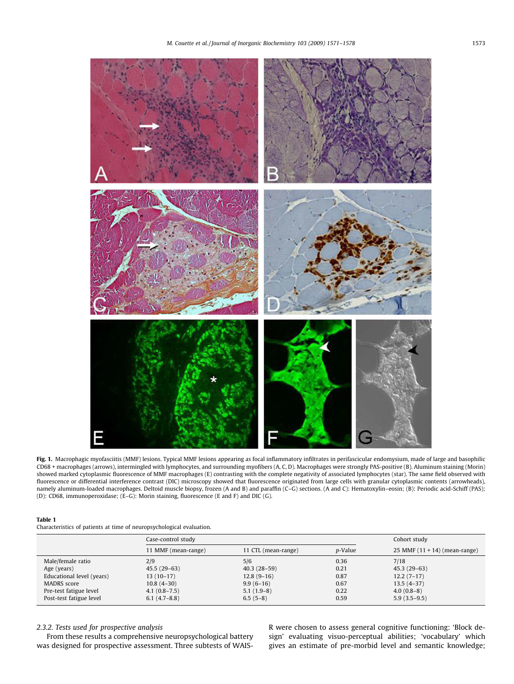<span id="page-2-0"></span>

Fig. 1. Macrophagic myofasciitis (MMF) lesions. Typical MMF lesions appearing as focal inflammatory infiltrates in perifascicular endomysium, made of large and basophilic CD68 + macrophages (arrows), intermingled with lymphocytes, and surrounding myofibers (A, C, D). Macrophages were strongly PAS-positive (B). Aluminum staining (Morin) showed marked cytoplasmic fluorescence of MMF macrophages (E) contrasting with the complete negativity of associated lymphocytes (star). The same field observed with fluorescence or differential interference contrast (DIC) microscopy showed that fluorescence originated from large cells with granular cytoplasmic contents (arrowheads), namely aluminum-loaded macrophages. Deltoid muscle biopsy, frozen (A and B) and paraffin (C–G) sections. (A and C): Hematoxylin–eosin; (B): Periodic acid-Schiff (PAS); (D): CD68, immunoperoxidase; (E–G): Morin staining, fluorescence (E and F) and DIC (G).

#### Table 1

Characteristics of patients at time of neuropsychological evaluation.

|                           | Case-control study  |                     |                 | Cohort study                    |
|---------------------------|---------------------|---------------------|-----------------|---------------------------------|
|                           | 11 MMF (mean-range) | 11 CTL (mean-range) | <i>p</i> -Value | 25 MMF $(11 + 14)$ (mean-range) |
| Male/female ratio         | 2/9                 | 5/6                 | 0.36            | 7/18                            |
| Age (years)               | $45.5(29-63)$       | $40.3(28-59)$       | 0.21            | $45.3(29-63)$                   |
| Educational level (years) | $13(10-17)$         | $12.8(9-16)$        | 0.87            | $12.2(7-17)$                    |
| MADRS score               | $10.8(4-30)$        | $9.9(6-16)$         | 0.67            | $13.5(4-37)$                    |
| Pre-test fatigue level    | $4.1(0.8 - 7.5)$    | $5.1(1.9-8)$        | 0.22            | $4.0(0.8-8)$                    |
| Post-test fatigue level   | $6.1(4.7-8.8)$      | $6.5(5-8)$          | 0.59            | $5.9(3.5-9.5)$                  |

# 2.3.2. Tests used for prospective analysis

From these results a comprehensive neuropsychological battery was designed for prospective assessment. Three subtests of WAIS- R were chosen to assess general cognitive functioning: 'Block design' evaluating visuo-perceptual abilities; 'vocabulary' which gives an estimate of pre-morbid level and semantic knowledge;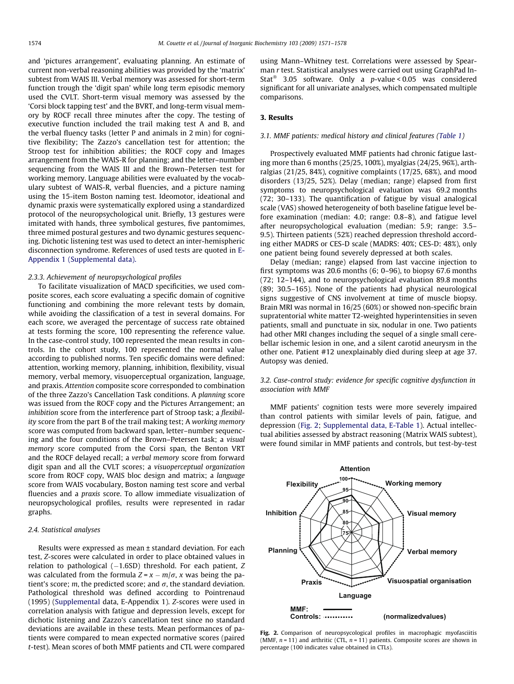<span id="page-3-0"></span>and 'pictures arrangement', evaluating planning. An estimate of current non-verbal reasoning abilities was provided by the 'matrix' subtest from WAIS III. Verbal memory was assessed for short-term function trough the 'digit span' while long term episodic memory used the CVLT. Short-term visual memory was assessed by the 'Corsi block tapping test' and the BVRT, and long-term visual memory by ROCF recall three minutes after the copy. The testing of executive function included the trail making test A and B, and the verbal fluency tasks (letter P and animals in 2 min) for cognitive flexibility; The Zazzo's cancellation test for attention; the Stroop test for inhibition abilities; the ROCF copy and Images arrangement from the WAIS-R for planning; and the letter–number sequencing from the WAIS III and the Brown–Petersen test for working memory. Language abilities were evaluated by the vocabulary subtest of WAIS-R, verbal fluencies, and a picture naming using the 15-item Boston naming test. Ideomotor, ideational and dynamic praxis were systematically explored using a standardized protocol of the neuropsychological unit. Briefly, 13 gestures were imitated with hands, three symbolical gestures, five pantomimes, three mimed postural gestures and two dynamic gestures sequencing. Dichotic listening test was used to detect an inter-hemispheric disconnection syndrome. References of used tests are quoted in E-Appendix 1 (Supplemental data).

#### 2.3.3. Achievement of neuropsychological profiles

To facilitate visualization of MACD specificities, we used composite scores, each score evaluating a specific domain of cognitive functioning and combining the more relevant tests by domain, while avoiding the classification of a test in several domains. For each score, we averaged the percentage of success rate obtained at tests forming the score, 100 representing the reference value. In the case-control study, 100 represented the mean results in controls. In the cohort study, 100 represented the normal value according to published norms. Ten specific domains were defined: attention, working memory, planning, inhibition, flexibility, visual memory, verbal memory, visuoperceptual organization, language, and praxis. Attention composite score corresponded to combination of the three Zazzo's Cancellation Task conditions. A planning score was issued from the ROCF copy and the Pictures Arrangement; an inhibition score from the interference part of Stroop task; a flexibility score from the part B of the trail making test; A working memory score was computed from backward span, letter–number sequencing and the four conditions of the Brown–Petersen task; a visual memory score computed from the Corsi span, the Benton VRT and the ROCF delayed recall; a verbal memory score from forward digit span and all the CVLT scores; a visuoperceptual organization score from ROCF copy, WAIS bloc design and matrix; a language score from WAIS vocabulary, Boston naming test score and verbal fluencies and a praxis score. To allow immediate visualization of neuropsychological profiles, results were represented in radar graphs.

#### 2.4. Statistical analyses

Results were expressed as mean ± standard deviation. For each test, Z-scores were calculated in order to place obtained values in relation to pathological  $(-1.6SD)$  threshold. For each patient, Z was calculated from the formula  $Z = x - m/\sigma$ , x was being the patient's score; m, the predicted score; and  $\sigma$ , the standard deviation. Pathological threshold was defined according to Pointrenaud (1995) (Supplemental data, E-Appendix 1). Z-scores were used in correlation analysis with fatigue and depression levels, except for dichotic listening and Zazzo's cancellation test since no standard deviations are available in these tests. Mean performances of patients were compared to mean expected normative scores (paired t-test). Mean scores of both MMF patients and CTL were compared using Mann–Whitney test. Correlations were assessed by Spearman r test. Statistical analyses were carried out using GraphPad In-Stat<sup>®</sup> 3.05 software. Only a  $p$ -value < 0.05 was considered significant for all univariate analyses, which compensated multiple comparisons.

#### 3. Results

#### 3.1. MMF patients: medical history and clinical features [\(Table 1](#page-2-0))

Prospectively evaluated MMF patients had chronic fatigue lasting more than 6 months (25/25, 100%), myalgias (24/25, 96%), arthralgias (21/25, 84%), cognitive complaints (17/25, 68%), and mood disorders (13/25, 52%). Delay (median; range) elapsed from first symptoms to neuropsychological evaluation was 69.2 months (72; 30–133). The quantification of fatigue by visual analogical scale (VAS) showed heterogeneity of both baseline fatigue level before examination (median: 4.0; range: 0.8–8), and fatigue level after neuropsychological evaluation (median: 5.9; range: 3.5– 9.5). Thirteen patients (52%) reached depression threshold according either MADRS or CES-D scale (MADRS: 40%; CES-D: 48%), only one patient being found severely depressed at both scales.

Delay (median; range) elapsed from last vaccine injection to first symptoms was 20.6 months (6; 0–96), to biopsy 67.6 months (72; 12–144), and to neuropsychological evaluation 89.8 months (89; 30.5–165). None of the patients had physical neurological signs suggestive of CNS involvement at time of muscle biopsy. Brain MRI was normal in 16/25 (60%) or showed non-specific brain supratentorial white matter T2-weighted hyperintensities in seven patients, small and punctuate in six, nodular in one. Two patients had other MRI changes including the sequel of a single small cerebellar ischemic lesion in one, and a silent carotid aneurysm in the other one. Patient #12 unexplainably died during sleep at age 37. Autopsy was denied.

3.2. Case-control study: evidence for specific cognitive dysfunction in association with MMF

MMF patients' cognition tests were more severely impaired than control patients with similar levels of pain, fatigue, and depression (Fig. 2; Supplemental data, E-Table 1). Actual intellectual abilities assessed by abstract reasoning (Matrix WAIS subtest), were found similar in MMF patients and controls, but test-by-test



Fig. 2. Comparison of neuropsycological profiles in macrophagic myofasciitis (MMF,  $n = 11$ ) and arthritic (CTL,  $n = 11$ ) patients. Composite scores are shown in percentage (100 indicates value obtained in CTLs).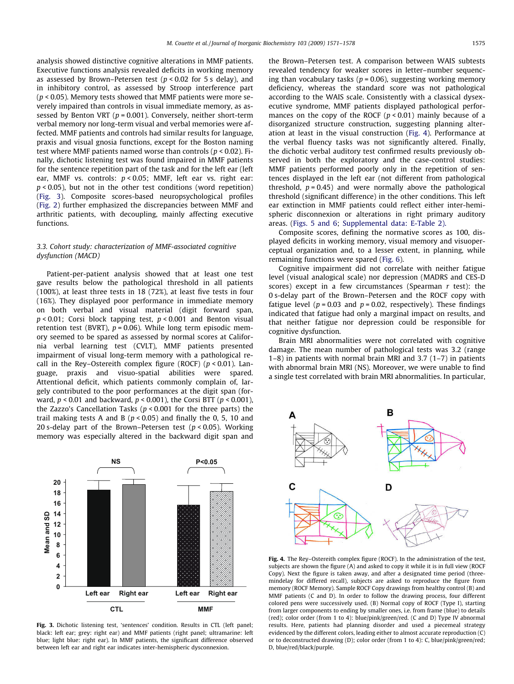analysis showed distinctive cognitive alterations in MMF patients. Executive functions analysis revealed deficits in working memory as assessed by Brown–Petersen test ( $p < 0.02$  for 5 s delay), and in inhibitory control, as assessed by Stroop interference part ( $p$  < 0.05). Memory tests showed that MMF patients were more severely impaired than controls in visual immediate memory, as assessed by Benton VRT ( $p = 0.001$ ). Conversely, neither short-term verbal memory nor long-term visual and verbal memories were affected. MMF patients and controls had similar results for language, praxis and visual gnosia functions, except for the Boston naming test where MMF patients named worse than controls ( $p < 0.02$ ). Finally, dichotic listening test was found impaired in MMF patients for the sentence repetition part of the task and for the left ear (left ear, MMF vs. controls:  $p < 0.05$ ; MMF, left ear vs. right ear:  $p < 0.05$ ), but not in the other test conditions (word repetition) (Fig. 3). Composite scores-based neuropsychological profiles ([Fig. 2\)](#page-3-0) further emphasized the discrepancies between MMF and arthritic patients, with decoupling, mainly affecting executive functions.

# 3.3. Cohort study: characterization of MMF-associated cognitive dysfunction (MACD)

Patient-per-patient analysis showed that at least one test gave results below the pathological threshold in all patients (100%), at least three tests in 18 (72%), at least five tests in four (16%). They displayed poor performance in immediate memory on both verbal and visual material (digit forward span,  $p < 0.01$ ; Corsi block tapping test,  $p < 0.001$  and Benton visual retention test (BVRT),  $p = 0.06$ ). While long term episodic memory seemed to be spared as assessed by normal scores at California verbal learning test (CVLT), MMF patients presented impairment of visual long-term memory with a pathological recall in the Rey–Ostereith complex figure (ROCF) ( $p$  < 0.01). Language, praxis and visuo-spatial abilities were spared. Attentional deficit, which patients commonly complain of, largely contributed to the poor performances at the digit span (forward,  $p < 0.01$  and backward,  $p < 0.001$ ), the Corsi BTT ( $p < 0.001$ ), the Zazzo's Cancellation Tasks ( $p < 0.001$  for the three parts) the trail making tests A and B ( $p < 0.05$ ) and finally the 0, 5, 10 and 20 s-delay part of the Brown–Petersen test ( $p < 0.05$ ). Working memory was especially altered in the backward digit span and



Fig. 3. Dichotic listening test, 'sentences' condition. Results in CTL (left panel; black: left ear; grey: right ear) and MMF patients (right panel; ultramarine: left blue; light blue: right ear). In MMF patients, the significant difference observed between left ear and right ear indicates inter-hemispheric dysconnexion.

the Brown–Petersen test. A comparison between WAIS subtests revealed tendency for weaker scores in letter–number sequencing than vocabulary tasks ( $p = 0.06$ ), suggesting working memory deficiency, whereas the standard score was not pathological according to the WAIS scale. Consistently with a classical dysexecutive syndrome, MMF patients displayed pathological performances on the copy of the ROCF  $(p < 0.01)$  mainly because of a disorganized structure construction, suggesting planning alteration at least in the visual construction (Fig. 4). Performance at the verbal fluency tasks was not significantly altered. Finally, the dichotic verbal auditory test confirmed results previously observed in both the exploratory and the case-control studies: MMF patients performed poorly only in the repetition of sentences displayed in the left ear (not different from pathological threshold,  $p = 0.45$ ) and were normally above the pathological threshold (significant difference) in the other conditions. This left ear extinction in MMF patients could reflect either inter-hemispheric disconnexion or alterations in right primary auditory areas. ([Figs. 5 and 6;](#page-5-0) Supplemental data: E-Table 2).

Composite scores, defining the normative scores as 100, displayed deficits in working memory, visual memory and visuoperceptual organization and, to a lesser extent, in planning, while remaining functions were spared [\(Fig. 6](#page-5-0)).

Cognitive impairment did not correlate with neither fatigue level (visual analogical scale) nor depression (MADRS and CES-D scores) except in a few circumstances (Spearman  $r$  test): the 0 s-delay part of the Brown–Petersen and the ROCF copy with fatigue level ( $p = 0.03$  and  $p = 0.02$ , respectively). These findings indicated that fatigue had only a marginal impact on results, and that neither fatigue nor depression could be responsible for cognitive dysfunction.

Brain MRI abnormalities were not correlated with cognitive damage. The mean number of pathological tests was 3.2 (range 1–8) in patients with normal brain MRI and 3.7 (1–7) in patients with abnormal brain MRI (NS). Moreover, we were unable to find a single test correlated with brain MRI abnormalities. In particular,



Fig. 4. The Rey–Ostereith complex figure (ROCF). In the administration of the test, subjects are shown the figure (A) and asked to copy it while it is in full view (ROCF Copy). Next the figure is taken away, and after a designated time period (threemindelay for differed recall), subjects are asked to reproduce the figure from memory (ROCF Memory). Sample ROCF Copy drawings from healthy control (B) and MMF patients (C and D). In order to follow the drawing process, four different colored pens were successively used. (B) Normal copy of ROCF (Type I), starting from larger components to ending by smaller ones, i.e. from frame (blue) to details (red); color order (from 1 to 4): blue/pink/green/red. (C and D) Type IV abnormal results. Here, patients had planning disorder and used a piecemeal strategy evidenced by the different colors, leading either to almost accurate reproduction (C) or to deconstructed drawing (D); color order (from 1 to 4): C, blue/pink/green/red; D, blue/red/black/purple.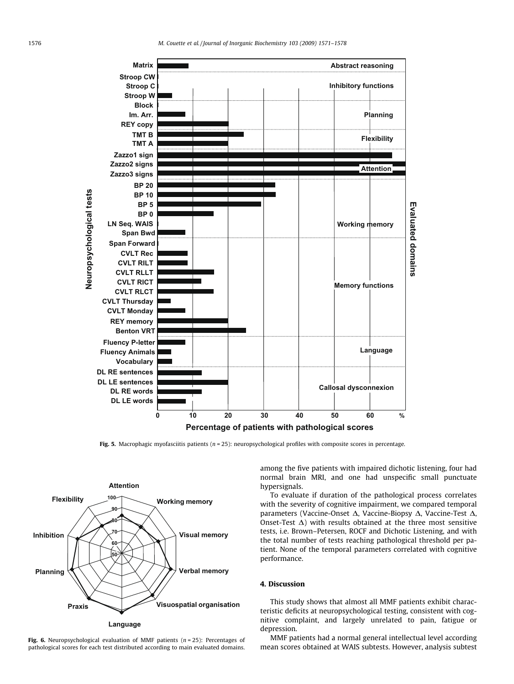<span id="page-5-0"></span>

Fig. 5. Macrophagic myofasciitis patients ( $n = 25$ ): neuropsychological profiles with composite scores in percentage.



Fig. 6. Neuropsychological evaluation of MMF patients ( $n = 25$ ): Percentages of pathological scores for each test distributed according to main evaluated domains.

among the five patients with impaired dichotic listening, four had normal brain MRI, and one had unspecific small punctuate hypersignals.

To evaluate if duration of the pathological process correlates with the severity of cognitive impairment, we compared temporal parameters (Vaccine-Onset  $\Delta$ , Vaccine-Biopsy  $\Delta$ , Vaccine-Test  $\Delta$ , Onset-Test  $\Delta$ ) with results obtained at the three most sensitive tests, i.e. Brown–Petersen, ROCF and Dichotic Listening, and with the total number of tests reaching pathological threshold per patient. None of the temporal parameters correlated with cognitive performance.

# 4. Discussion

This study shows that almost all MMF patients exhibit characteristic deficits at neuropsychological testing, consistent with cognitive complaint, and largely unrelated to pain, fatigue or depression.

MMF patients had a normal general intellectual level according mean scores obtained at WAIS subtests. However, analysis subtest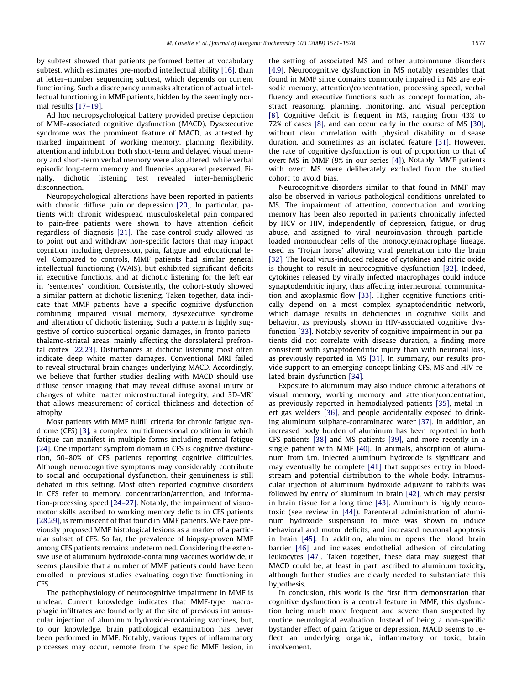by subtest showed that patients performed better at vocabulary subtest, which estimates pre-morbid intellectual ability [\[16\],](#page-7-0) than at letter–number sequencing subtest, which depends on current functioning. Such a discrepancy unmasks alteration of actual intellectual functioning in MMF patients, hidden by the seemingly normal results [\[17–19\]](#page-7-0).

Ad hoc neuropsychological battery provided precise depiction of MMF-associated cognitive dysfunction (MACD). Dysexecutive syndrome was the prominent feature of MACD, as attested by marked impairment of working memory, planning, flexibility, attention and inhibition. Both short-term and delayed visual memory and short-term verbal memory were also altered, while verbal episodic long-term memory and fluencies appeared preserved. Finally, dichotic listening test revealed inter-hemispheric disconnection.

Neuropsychological alterations have been reported in patients with chronic diffuse pain or depression [\[20\]](#page-7-0). In particular, patients with chronic widespread musculoskeletal pain compared to pain-free patients were shown to have attention deficit regardless of diagnosis [\[21\]](#page-7-0). The case-control study allowed us to point out and withdraw non-specific factors that may impact cognition, including depression, pain, fatigue and educational level. Compared to controls, MMF patients had similar general intellectual functioning (WAIS), but exhibited significant deficits in executive functions, and at dichotic listening for the left ear in ''sentences" condition. Consistently, the cohort-study showed a similar pattern at dichotic listening. Taken together, data indicate that MMF patients have a specific cognitive dysfunction combining impaired visual memory, dysexecutive syndrome and alteration of dichotic listening. Such a pattern is highly suggestive of cortico-subcortical organic damages, in fronto-parietothalamo-striatal areas, mainly affecting the dorsolateral prefrontal cortex [\[22,23\].](#page-7-0) Disturbances at dichotic listening most often indicate deep white matter damages. Conventional MRI failed to reveal structural brain changes underlying MACD. Accordingly, we believe that further studies dealing with MACD should use diffuse tensor imaging that may reveal diffuse axonal injury or changes of white matter microstructural integrity, and 3D-MRI that allows measurement of cortical thickness and detection of atrophy.

Most patients with MMF fulfill criteria for chronic fatigue syndrome (CFS) [\[3\]](#page-7-0), a complex multidimensional condition in which fatigue can manifest in multiple forms including mental fatigue [\[24\].](#page-7-0) One important symptom domain in CFS is cognitive dysfunction, 50–80% of CFS patients reporting cognitive difficulties. Although neurocognitive symptoms may considerably contribute to social and occupational dysfunction, their genuineness is still debated in this setting. Most often reported cognitive disorders in CFS refer to memory, concentration/attention, and information-processing speed [\[24–27\]](#page-7-0). Notably, the impairment of visuomotor skills ascribed to working memory deficits in CFS patients [\[28,29\]](#page-7-0), is reminiscent of that found in MMF patients. We have previously proposed MMF histological lesions as a marker of a particular subset of CFS. So far, the prevalence of biopsy-proven MMF among CFS patients remains undetermined. Considering the extensive use of aluminum hydroxide-containing vaccines worldwide, it seems plausible that a number of MMF patients could have been enrolled in previous studies evaluating cognitive functioning in CFS.

The pathophysiology of neurocognitive impairment in MMF is unclear. Current knowledge indicates that MMF-type macrophagic infiltrates are found only at the site of previous intramuscular injection of aluminum hydroxide-containing vaccines, but, to our knowledge, brain pathological examination has never been performed in MMF. Notably, various types of inflammatory processes may occur, remote from the specific MMF lesion, in the setting of associated MS and other autoimmune disorders [\[4,9\].](#page-7-0) Neurocognitive dysfunction in MS notably resembles that found in MMF since domains commonly impaired in MS are episodic memory, attention/concentration, processing speed, verbal fluency and executive functions such as concept formation, abstract reasoning, planning, monitoring, and visual perception [\[8\]](#page-7-0). Cognitive deficit is frequent in MS, ranging from 43% to 72% of cases [\[8\]](#page-7-0), and can occur early in the course of MS [\[30\],](#page-7-0) without clear correlation with physical disability or disease duration, and sometimes as an isolated feature [\[31\]](#page-7-0). However, the rate of cognitive dysfunction is out of proportion to that of overt MS in MMF (9% in our series [\[4\]\)](#page-7-0). Notably, MMF patients with overt MS were deliberately excluded from the studied cohort to avoid bias.

Neurocognitive disorders similar to that found in MMF may also be observed in various pathological conditions unrelated to MS. The impairment of attention, concentration and working memory has been also reported in patients chronically infected by HCV or HIV, independently of depression, fatigue, or drug abuse, and assigned to viral neuroinvasion through particleloaded mononuclear cells of the monocyte/macrophage lineage, used as 'Trojan horse' allowing viral penetration into the brain [\[32\]](#page-7-0). The local virus-induced release of cytokines and nitric oxide is thought to result in neurocognitive dysfunction [\[32\]](#page-7-0). Indeed, cytokines released by virally infected macrophages could induce synaptodendritic injury, thus affecting interneuronal communication and axoplasmic flow [\[33\].](#page-7-0) Higher cognitive functions critically depend on a most complex synaptodendritic network, which damage results in deficiencies in cognitive skills and behavior, as previously shown in HIV-associated cognitive dysfunction [\[33\]](#page-7-0). Notably severity of cognitive impairment in our patients did not correlate with disease duration, a finding more consistent with synaptodendritic injury than with neuronal loss, as previously reported in MS [\[31\].](#page-7-0) In summary, our results provide support to an emerging concept linking CFS, MS and HIV-related brain dysfunction [\[34\].](#page-7-0)

Exposure to aluminum may also induce chronic alterations of visual memory, working memory and attention/concentration, as previously reported in hemodialyzed patients [\[35\],](#page-7-0) metal inert gas welders [\[36\]](#page-7-0), and people accidentally exposed to drinking aluminum sulphate-contaminated water [\[37\].](#page-7-0) In addition, an increased body burden of aluminum has been reported in both CFS patients [\[38\]](#page-7-0) and MS patients [\[39\],](#page-7-0) and more recently in a single patient with MMF [\[40\].](#page-7-0) In animals, absorption of aluminum from i.m. injected aluminum hydroxide is significant and may eventually be complete [\[41\]](#page-7-0) that supposes entry in bloodstream and potential distribution to the whole body. Intramuscular injection of aluminum hydroxide adjuvant to rabbits was followed by entry of aluminum in brain [\[42\]](#page-7-0), which may persist in brain tissue for a long time [\[43\]](#page-7-0). Aluminum is highly neurotoxic (see review in [\[44\]](#page-7-0)). Parenteral administration of aluminum hydroxide suspension to mice was shown to induce behavioral and motor deficits, and increased neuronal apoptosis in brain [\[45\]](#page-7-0). In addition, aluminum opens the blood brain barrier [\[46\]](#page-7-0) and increases endothelial adhesion of circulating leukocytes [\[47\]](#page-7-0). Taken together, these data may suggest that MACD could be, at least in part, ascribed to aluminum toxicity, although further studies are clearly needed to substantiate this hypothesis.

In conclusion, this work is the first firm demonstration that cognitive dysfunction is a central feature in MMF, this dysfunction being much more frequent and severe than suspected by routine neurological evaluation. Instead of being a non-specific bystander effect of pain, fatigue or depression, MACD seems to reflect an underlying organic, inflammatory or toxic, brain involvement.